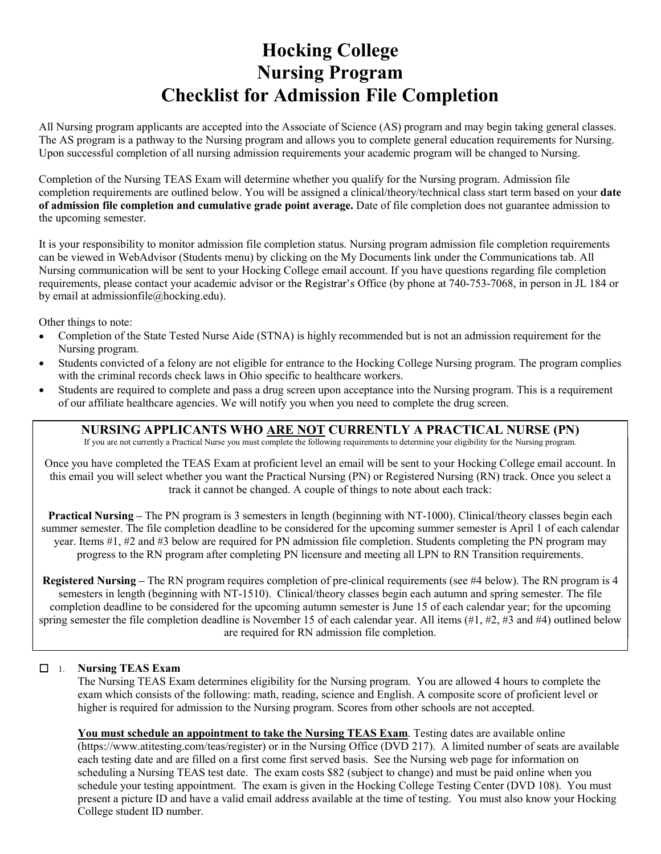# Hocking College Nursing Program Checklist for Admission File Completion

All Nursing program applicants are accepted into the Associate of Science (AS) program and may begin taking general classes. The AS program is a pathway to the Nursing program and allows you to complete general education requirements for Nursing. Upon successful completion of all nursing admission requirements your academic program will be changed to Nursing.

Completion of the Nursing TEAS Exam will determine whether you qualify for the Nursing program. Admission file completion requirements are outlined below. You will be assigned a clinical/theory/technical class start term based on your **date Example 19 All Starts College**<br> **Checklist for Admission File Completion**<br>
All Nursing program applicants are accepted into the Associate of Science (AS) program and may begin taking general classes.<br>
The AS program is a the upcoming semester.

It is your responsibility to monitor admission file completion status. Nursing program admission file completion requirements can be viewed in WebAdvisor (Students menu) by clicking on the My Documents link under the Communications tab. All Nursing communication will be sent to your Hocking College email account. If you have questions regarding file completion **Frocking College**<br> **Checklist for Admission File Completion**<br>
All Nursing program applicants are accepted into the Associate of Science (AS) program and may begin taking general classes.<br>
The AS program is a pathway to th by email at admissionfile@hocking.edu). **admission file completion and cumulative grade point average.** Date of file completion does not guarantice admission to<br>uponoming senesset.<br>It is your responsibility to monitor admission file completion status. Nursing pr since is the file completion means be clearing on the My Documens link under the Communications us the My and the magnitudine to the Nation Completion equirements, phease contact your academic advisior or the Registrar's

Other things to note:

- Completion of the State Tested Nurse Aide (STNA) is highly recommended but is not an admission requirement for the Nursing program.
- Students convicted of a felony are not eligible for entrance to the Hocking College Nursing program. The program complies with the criminal records check laws in Ohio specific to healthcare workers.
- Students are required to complete and pass a drug screen upon acceptance into the Nursing program. This is a requirement of our affiliate healthcare agencies. We will notify you when you need to complete the drug screen.

## NURSING APPLICANTS WHO ARE NOT CURRENTLY A PRACTICAL NURSE (PN)

If you are not currently a Practical Nurse you must complete the following requirements to determine your eligibility for the Nursing program.

Once you have completed the TEAS Exam at proficient level an email will be sent to your Hocking College email account. In track it cannot be changed. A couple of things to note about each track:

Practical Nursing - The PN program is 3 semesters in length (beginning with NT-1000). Clinical/theory classes begin each year. Items #1, #2 and #3 below are required for PN admission file completion. Students completing the PN program may progress to the RN program after completing PN licensure and meeting all LPN to RN Transition requirements.

Registered Nursing – The RN program requires completion of pre-clinical requirements (see #4 below). The RN program is 4 semesters in length (beginning with NT-1510). Clinical/theory classes begin each autumn and spring semester. The file completion deadline to be considered for the upcoming autumn semester is June 15 of each calendar year; for the upcoming Nursing program.<br>
Suddents convided of a felony are not eligible for entrance to the Hocking College Nursing program. The program complies<br>
such the criminal records check laws in Ohio specific to healthear workers.<br>
Sudd are required for RN admission file completion.

### $\Box$  1. Nursing TEAS Exam

The Nursing TEAS Exam determines eligibility for the Nursing program. You are allowed 4 hours to complete the exam which consists of the following: math, reading, science and English. A composite score of proficient level or higher is required for admission to the Nursing program. Scores from other schools are not accepted.

You must schedule an appointment to take the Nursing TEAS Exam. Testing dates are available online (https://www.atitesting.com/teas/register) or in the Nursing Office (DVD 217). A limited number of seats are available each testing date and are filled on a first come first served basis. See the Nursing web page for information on scheduling a Nursing The PN program is 3 semester. I vector when we were when the semester. The file completion deadline to be considered for the upcoming summer semester is April 1 of each calendar structure. The file com cal Nursing – The PN program is 3 semesters in length (beginning with NT-1000). Clinical/theory classes begin each<br>semester. The file completion dealine to be considered for the upcoming summer semester is Appil 1 of each present a picture ID and have a valid email address available at the time of testing. You must also know your Hocking College student ID number.